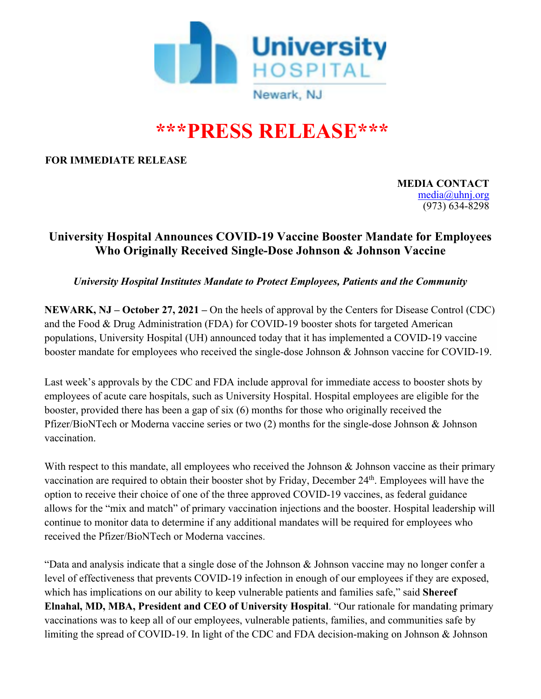

## **\*\*\*PRESS RELEASE\*\*\***

**FOR IMMEDIATE RELEASE** 

**MEDIA CONTACT**  media@uhnj.org (973) 634-8298

## **University Hospital Announces COVID-19 Vaccine Booster Mandate for Employees Who Originally Received Single-Dose Johnson & Johnson Vaccine**

*University Hospital Institutes Mandate to Protect Employees, Patients and the Community*

**NEWARK, NJ – October 27, 2021 –** On the heels of approval by the Centers for Disease Control (CDC) and the Food & Drug Administration (FDA) for COVID-19 booster shots for targeted American populations, University Hospital (UH) announced today that it has implemented a COVID-19 vaccine booster mandate for employees who received the single-dose Johnson & Johnson vaccine for COVID-19.

Last week's approvals by the CDC and FDA include approval for immediate access to booster shots by employees of acute care hospitals, such as University Hospital. Hospital employees are eligible for the booster, provided there has been a gap of six (6) months for those who originally received the Pfizer/BioNTech or Moderna vaccine series or two (2) months for the single-dose Johnson & Johnson vaccination.

With respect to this mandate, all employees who received the Johnson & Johnson vaccine as their primary vaccination are required to obtain their booster shot by Friday, December 24th. Employees will have the option to receive their choice of one of the three approved COVID-19 vaccines, as federal guidance allows for the "mix and match" of primary vaccination injections and the booster. Hospital leadership will continue to monitor data to determine if any additional mandates will be required for employees who received the Pfizer/BioNTech or Moderna vaccines.

"Data and analysis indicate that a single dose of the Johnson & Johnson vaccine may no longer confer a level of effectiveness that prevents COVID-19 infection in enough of our employees if they are exposed, which has implications on our ability to keep vulnerable patients and families safe," said **Shereef Elnahal, MD, MBA, President and CEO of University Hospital**. "Our rationale for mandating primary vaccinations was to keep all of our employees, vulnerable patients, families, and communities safe by limiting the spread of COVID-19. In light of the CDC and FDA decision-making on Johnson & Johnson